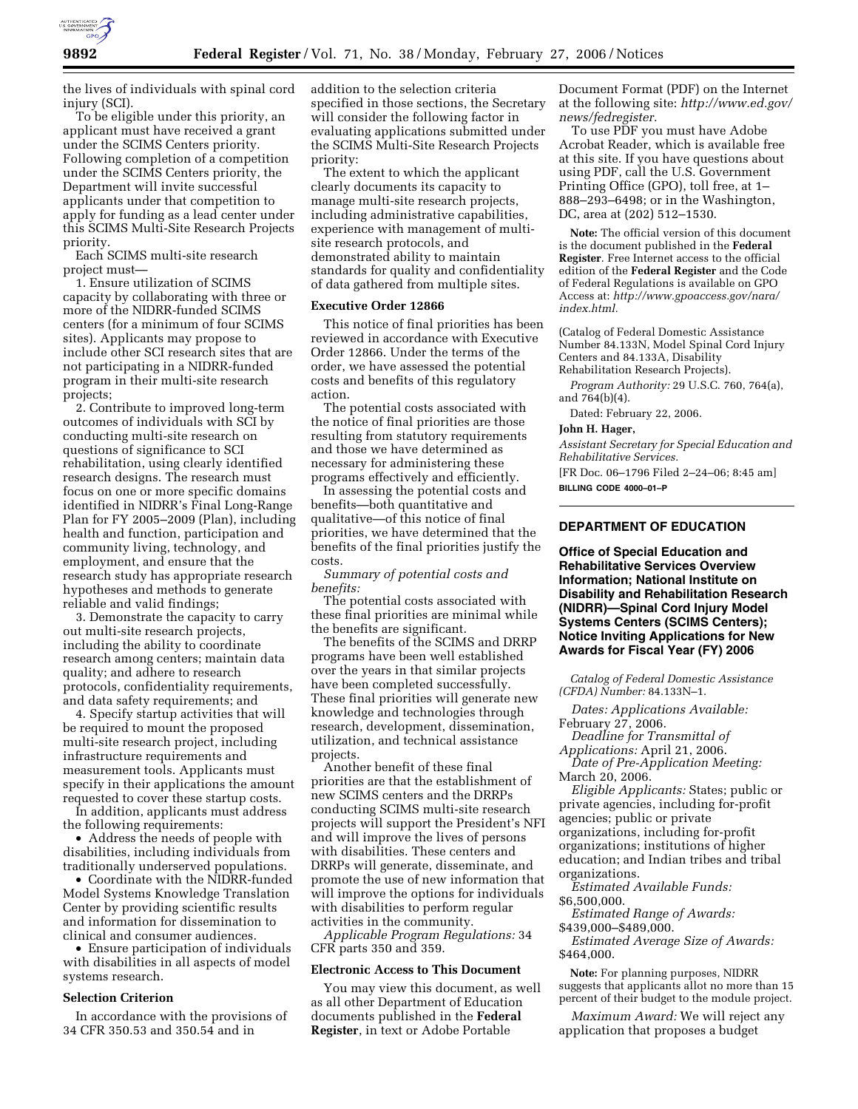

the lives of individuals with spinal cord injury (SCI).

To be eligible under this priority, an applicant must have received a grant under the SCIMS Centers priority. Following completion of a competition under the SCIMS Centers priority, the Department will invite successful applicants under that competition to apply for funding as a lead center under this SCIMS Multi-Site Research Projects priority.

Each SCIMS multi-site research project must—

1. Ensure utilization of SCIMS capacity by collaborating with three or more of the NIDRR-funded SCIMS centers (for a minimum of four SCIMS sites). Applicants may propose to include other SCI research sites that are not participating in a NIDRR-funded program in their multi-site research projects;

2. Contribute to improved long-term outcomes of individuals with SCI by conducting multi-site research on questions of significance to SCI rehabilitation, using clearly identified research designs. The research must focus on one or more specific domains identified in NIDRR's Final Long-Range Plan for FY 2005–2009 (Plan), including health and function, participation and community living, technology, and employment, and ensure that the research study has appropriate research hypotheses and methods to generate reliable and valid findings;

3. Demonstrate the capacity to carry out multi-site research projects, including the ability to coordinate research among centers; maintain data quality; and adhere to research protocols, confidentiality requirements, and data safety requirements; and

4. Specify startup activities that will be required to mount the proposed multi-site research project, including infrastructure requirements and measurement tools. Applicants must specify in their applications the amount requested to cover these startup costs.

In addition, applicants must address the following requirements:

• Address the needs of people with disabilities, including individuals from traditionally underserved populations.

• Coordinate with the NIDRR-funded Model Systems Knowledge Translation Center by providing scientific results and information for dissemination to clinical and consumer audiences.

• Ensure participation of individuals with disabilities in all aspects of model systems research.

## **Selection Criterion**

In accordance with the provisions of 34 CFR 350.53 and 350.54 and in

addition to the selection criteria specified in those sections, the Secretary will consider the following factor in evaluating applications submitted under the SCIMS Multi-Site Research Projects priority:

The extent to which the applicant clearly documents its capacity to manage multi-site research projects, including administrative capabilities, experience with management of multisite research protocols, and demonstrated ability to maintain standards for quality and confidentiality of data gathered from multiple sites.

## **Executive Order 12866**

This notice of final priorities has been reviewed in accordance with Executive Order 12866. Under the terms of the order, we have assessed the potential costs and benefits of this regulatory action.

The potential costs associated with the notice of final priorities are those resulting from statutory requirements and those we have determined as necessary for administering these programs effectively and efficiently.

In assessing the potential costs and benefits—both quantitative and qualitative—of this notice of final priorities, we have determined that the benefits of the final priorities justify the costs.

*Summary of potential costs and benefits:* 

The potential costs associated with these final priorities are minimal while the benefits are significant.

The benefits of the SCIMS and DRRP programs have been well established over the years in that similar projects have been completed successfully. These final priorities will generate new knowledge and technologies through research, development, dissemination, utilization, and technical assistance projects.

Another benefit of these final priorities are that the establishment of new SCIMS centers and the DRRPs conducting SCIMS multi-site research projects will support the President's NFI and will improve the lives of persons with disabilities. These centers and DRRPs will generate, disseminate, and promote the use of new information that will improve the options for individuals with disabilities to perform regular activities in the community.

*Applicable Program Regulations:* 34 CFR parts 350 and 359.

#### **Electronic Access to This Document**

You may view this document, as well as all other Department of Education documents published in the **Federal Register**, in text or Adobe Portable

Document Format (PDF) on the Internet at the following site: *http://www.ed.gov/ news/fedregister.* 

To use PDF you must have Adobe Acrobat Reader, which is available free at this site. If you have questions about using PDF, call the U.S. Government Printing Office (GPO), toll free, at 1– 888–293–6498; or in the Washington, DC, area at (202) 512–1530.

**Note:** The official version of this document is the document published in the **Federal Register**. Free Internet access to the official edition of the **Federal Register** and the Code of Federal Regulations is available on GPO Access at: *http://www.gpoaccess.gov/nara/ index.html.* 

(Catalog of Federal Domestic Assistance Number 84.133N, Model Spinal Cord Injury Centers and 84.133A, Disability Rehabilitation Research Projects).

*Program Authority:* 29 U.S.C. 760, 764(a), and 764(b)(4).

Dated: February 22, 2006.

### **John H. Hager,**

*Assistant Secretary for Special Education and Rehabilitative Services.* 

[FR Doc. 06–1796 Filed 2–24–06; 8:45 am] **BILLING CODE 4000–01–P** 

# **DEPARTMENT OF EDUCATION**

**Office of Special Education and Rehabilitative Services Overview Information; National Institute on Disability and Rehabilitation Research (NIDRR)—Spinal Cord Injury Model Systems Centers (SCIMS Centers); Notice Inviting Applications for New Awards for Fiscal Year (FY) 2006** 

*Catalog of Federal Domestic Assistance (CFDA) Number:* 84.133N–1.

*Dates: Applications Available:*  February 27, 2006.

*Deadline for Transmittal of* 

*Applications:* April 21, 2006. *Date of Pre-Application Meeting:*  March 20, 2006.

*Eligible Applicants:* States; public or private agencies, including for-profit agencies; public or private organizations, including for-profit organizations; institutions of higher education; and Indian tribes and tribal organizations.

*Estimated Available Funds:*  \$6,500,000.

*Estimated Range of Awards:*  \$439,000–\$489,000.

*Estimated Average Size of Awards:*  \$464,000.

**Note:** For planning purposes, NIDRR suggests that applicants allot no more than 15 percent of their budget to the module project.

*Maximum Award:* We will reject any application that proposes a budget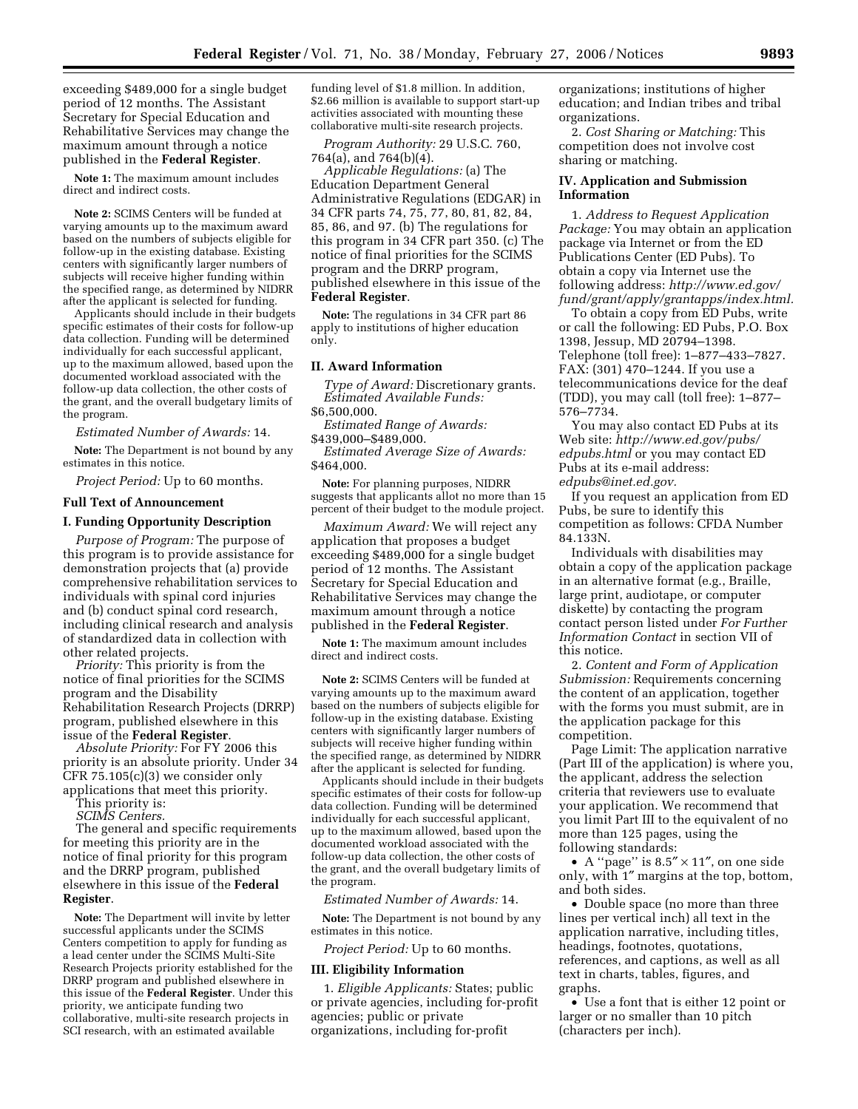exceeding \$489,000 for a single budget period of 12 months. The Assistant Secretary for Special Education and Rehabilitative Services may change the maximum amount through a notice published in the **Federal Register**.

**Note 1:** The maximum amount includes direct and indirect costs.

**Note 2:** SCIMS Centers will be funded at varying amounts up to the maximum award based on the numbers of subjects eligible for follow-up in the existing database. Existing centers with significantly larger numbers of subjects will receive higher funding within the specified range, as determined by NIDRR after the applicant is selected for funding.

Applicants should include in their budgets specific estimates of their costs for follow-up data collection. Funding will be determined individually for each successful applicant, up to the maximum allowed, based upon the documented workload associated with the follow-up data collection, the other costs of the grant, and the overall budgetary limits of the program.

*Estimated Number of Awards:* 14.

**Note:** The Department is not bound by any estimates in this notice.

*Project Period:* Up to 60 months.

### **Full Text of Announcement**

### **I. Funding Opportunity Description**

*Purpose of Program:* The purpose of this program is to provide assistance for demonstration projects that (a) provide comprehensive rehabilitation services to individuals with spinal cord injuries and (b) conduct spinal cord research, including clinical research and analysis of standardized data in collection with other related projects.

*Priority:* This priority is from the notice of final priorities for the SCIMS program and the Disability Rehabilitation Research Projects (DRRP) program, published elsewhere in this issue of the **Federal Register**.

*Absolute Priority:* For FY 2006 this priority is an absolute priority. Under 34 CFR 75.105(c)(3) we consider only applications that meet this priority.

This priority is: *SCIMS Centers.* 

The general and specific requirements for meeting this priority are in the notice of final priority for this program and the DRRP program, published elsewhere in this issue of the **Federal Register**.

**Note:** The Department will invite by letter successful applicants under the SCIMS Centers competition to apply for funding as a lead center under the SCIMS Multi-Site Research Projects priority established for the DRRP program and published elsewhere in this issue of the **Federal Register**. Under this priority, we anticipate funding two collaborative, multi-site research projects in SCI research, with an estimated available

funding level of \$1.8 million. In addition, \$2.66 million is available to support start-up activities associated with mounting these collaborative multi-site research projects.

*Program Authority:* 29 U.S.C. 760, 764(a), and 764(b)(4).

*Applicable Regulations:* (a) The Education Department General Administrative Regulations (EDGAR) in 34 CFR parts 74, 75, 77, 80, 81, 82, 84, 85, 86, and 97. (b) The regulations for this program in 34 CFR part 350. (c) The notice of final priorities for the SCIMS program and the DRRP program, published elsewhere in this issue of the **Federal Register**.

**Note:** The regulations in 34 CFR part 86 apply to institutions of higher education only.

## **II. Award Information**

*Type of Award:* Discretionary grants. *Estimated Available Funds:*  \$6,500,000.

*Estimated Range of Awards:*  \$439,000–\$489,000.

*Estimated Average Size of Awards:*  \$464,000.

**Note:** For planning purposes, NIDRR suggests that applicants allot no more than 15 percent of their budget to the module project.

*Maximum Award:* We will reject any application that proposes a budget exceeding \$489,000 for a single budget period of 12 months. The Assistant Secretary for Special Education and Rehabilitative Services may change the maximum amount through a notice published in the **Federal Register**.

**Note 1:** The maximum amount includes direct and indirect costs.

**Note 2:** SCIMS Centers will be funded at varying amounts up to the maximum award based on the numbers of subjects eligible for follow-up in the existing database. Existing centers with significantly larger numbers of subjects will receive higher funding within the specified range, as determined by NIDRR after the applicant is selected for funding.

Applicants should include in their budgets specific estimates of their costs for follow-up data collection. Funding will be determined individually for each successful applicant, up to the maximum allowed, based upon the documented workload associated with the follow-up data collection, the other costs of the grant, and the overall budgetary limits of the program.

#### *Estimated Number of Awards:* 14.

**Note:** The Department is not bound by any estimates in this notice.

*Project Period:* Up to 60 months.

#### **III. Eligibility Information**

1. *Eligible Applicants:* States; public or private agencies, including for-profit agencies; public or private organizations, including for-profit

organizations; institutions of higher education; and Indian tribes and tribal organizations.

2. *Cost Sharing or Matching:* This competition does not involve cost sharing or matching.

# **IV. Application and Submission Information**

1. *Address to Request Application Package:* You may obtain an application package via Internet or from the ED Publications Center (ED Pubs). To obtain a copy via Internet use the following address: *http://www.ed.gov/ fund/grant/apply/grantapps/index.html.* 

To obtain a copy from ED Pubs, write or call the following: ED Pubs, P.O. Box 1398, Jessup, MD 20794–1398. Telephone (toll free): 1–877–433–7827. FAX: (301) 470–1244. If you use a telecommunications device for the deaf (TDD), you may call (toll free): 1–877– 576–7734.

You may also contact ED Pubs at its Web site: *http://www.ed.gov/pubs/ edpubs.html* or you may contact ED Pubs at its e-mail address: *edpubs@inet.ed.gov.* 

If you request an application from ED Pubs, be sure to identify this competition as follows: CFDA Number 84.133N.

Individuals with disabilities may obtain a copy of the application package in an alternative format (e.g., Braille, large print, audiotape, or computer diskette) by contacting the program contact person listed under *For Further Information Contact* in section VII of this notice.

2. *Content and Form of Application Submission:* Requirements concerning the content of an application, together with the forms you must submit, are in the application package for this competition.

Page Limit: The application narrative (Part III of the application) is where you, the applicant, address the selection criteria that reviewers use to evaluate your application. We recommend that you limit Part III to the equivalent of no more than 125 pages, using the following standards:

• A ''page'' is 8.5″ × 11″, on one side only, with 1″ margins at the top, bottom, and both sides.

• Double space (no more than three lines per vertical inch) all text in the application narrative, including titles, headings, footnotes, quotations, references, and captions, as well as all text in charts, tables, figures, and graphs.

• Use a font that is either 12 point or larger or no smaller than 10 pitch (characters per inch).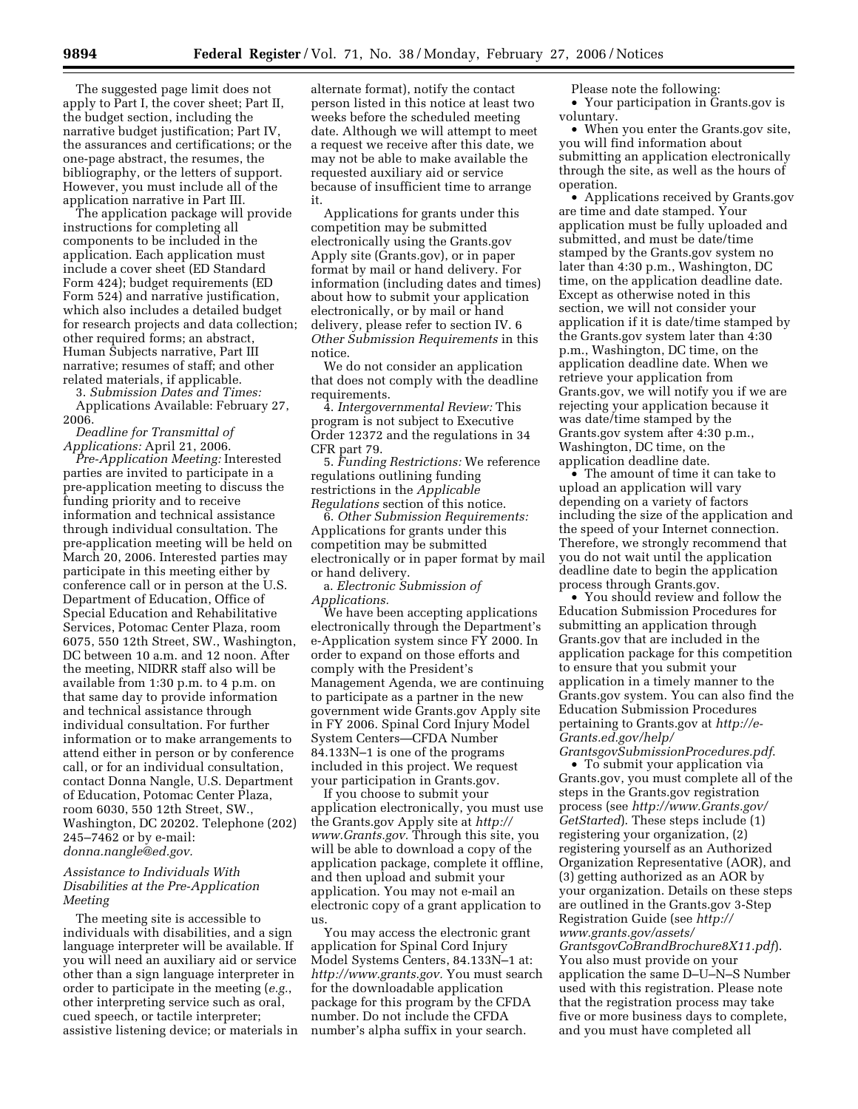The suggested page limit does not apply to Part I, the cover sheet; Part II, the budget section, including the narrative budget justification; Part IV, the assurances and certifications; or the one-page abstract, the resumes, the bibliography, or the letters of support. However, you must include all of the application narrative in Part III.

The application package will provide instructions for completing all components to be included in the application. Each application must include a cover sheet (ED Standard Form 424); budget requirements (ED Form 524) and narrative justification, which also includes a detailed budget for research projects and data collection; other required forms; an abstract, Human Subjects narrative, Part III narrative; resumes of staff; and other related materials, if applicable.

3. *Submission Dates and Times:*  Applications Available: February 27, 2006.

*Deadline for Transmittal of Applications:* April 21, 2006.

*Pre-Application Meeting:* Interested parties are invited to participate in a pre-application meeting to discuss the funding priority and to receive information and technical assistance through individual consultation. The pre-application meeting will be held on March 20, 2006. Interested parties may participate in this meeting either by conference call or in person at the U.S. Department of Education, Office of Special Education and Rehabilitative Services, Potomac Center Plaza, room 6075, 550 12th Street, SW., Washington, DC between 10 a.m. and 12 noon. After the meeting, NIDRR staff also will be available from 1:30 p.m. to 4 p.m. on that same day to provide information and technical assistance through individual consultation. For further information or to make arrangements to attend either in person or by conference call, or for an individual consultation, contact Donna Nangle, U.S. Department of Education, Potomac Center Plaza, room 6030, 550 12th Street, SW., Washington, DC 20202. Telephone (202) 245–7462 or by e-mail: *donna.nangle@ed.gov.* 

# *Assistance to Individuals With Disabilities at the Pre-Application Meeting*

The meeting site is accessible to individuals with disabilities, and a sign language interpreter will be available. If you will need an auxiliary aid or service other than a sign language interpreter in order to participate in the meeting (*e.g.*, other interpreting service such as oral, cued speech, or tactile interpreter; assistive listening device; or materials in

alternate format), notify the contact person listed in this notice at least two weeks before the scheduled meeting date. Although we will attempt to meet a request we receive after this date, we may not be able to make available the requested auxiliary aid or service because of insufficient time to arrange it.

Applications for grants under this competition may be submitted electronically using the Grants.gov Apply site (Grants.gov), or in paper format by mail or hand delivery. For information (including dates and times) about how to submit your application electronically, or by mail or hand delivery, please refer to section IV. 6 *Other Submission Requirements* in this notice.

We do not consider an application that does not comply with the deadline requirements.

4. *Intergovernmental Review:* This program is not subject to Executive Order 12372 and the regulations in 34 CFR part 79.

5. *Funding Restrictions:* We reference regulations outlining funding restrictions in the *Applicable Regulations* section of this notice.

6. *Other Submission Requirements:*  Applications for grants under this competition may be submitted electronically or in paper format by mail or hand delivery.

a. *Electronic Submission of Applications.* 

We have been accepting applications electronically through the Department's e-Application system since FY 2000. In order to expand on those efforts and comply with the President's Management Agenda, we are continuing to participate as a partner in the new government wide Grants.gov Apply site in FY 2006. Spinal Cord Injury Model System Centers—CFDA Number 84.133N–1 is one of the programs included in this project. We request your participation in Grants.gov.

If you choose to submit your application electronically, you must use the Grants.gov Apply site at *http:// www.Grants.gov.* Through this site, you will be able to download a copy of the application package, complete it offline, and then upload and submit your application. You may not e-mail an electronic copy of a grant application to us.

You may access the electronic grant application for Spinal Cord Injury Model Systems Centers, 84.133N–1 at: *http://www.grants.gov.* You must search for the downloadable application package for this program by the CFDA number. Do not include the CFDA number's alpha suffix in your search.

Please note the following:

• Your participation in Grants.gov is voluntary.

• When you enter the Grants.gov site, you will find information about submitting an application electronically through the site, as well as the hours of operation.

• Applications received by Grants.gov are time and date stamped. Your application must be fully uploaded and submitted, and must be date/time stamped by the Grants.gov system no later than 4:30 p.m., Washington, DC time, on the application deadline date. Except as otherwise noted in this section, we will not consider your application if it is date/time stamped by the Grants.gov system later than 4:30 p.m., Washington, DC time, on the application deadline date. When we retrieve your application from Grants.gov, we will notify you if we are rejecting your application because it was date/time stamped by the Grants.gov system after 4:30 p.m., Washington, DC time, on the application deadline date.

• The amount of time it can take to upload an application will vary depending on a variety of factors including the size of the application and the speed of your Internet connection. Therefore, we strongly recommend that you do not wait until the application deadline date to begin the application process through Grants.gov.

• You should review and follow the Education Submission Procedures for submitting an application through Grants.gov that are included in the application package for this competition to ensure that you submit your application in a timely manner to the Grants.gov system. You can also find the Education Submission Procedures pertaining to Grants.gov at *http://e-Grants.ed.gov/help/* 

*GrantsgovSubmissionProcedures.pdf*.

• To submit your application via Grants.gov, you must complete all of the steps in the Grants.gov registration process (see *http://www.Grants.gov/ GetStarted*). These steps include (1) registering your organization, (2) registering yourself as an Authorized Organization Representative (AOR), and (3) getting authorized as an AOR by your organization. Details on these steps are outlined in the Grants.gov 3-Step Registration Guide (see *http:// www.grants.gov/assets/ GrantsgovCoBrandBrochure8X11.pdf*). You also must provide on your application the same D–U–N–S Number used with this registration. Please note that the registration process may take five or more business days to complete, and you must have completed all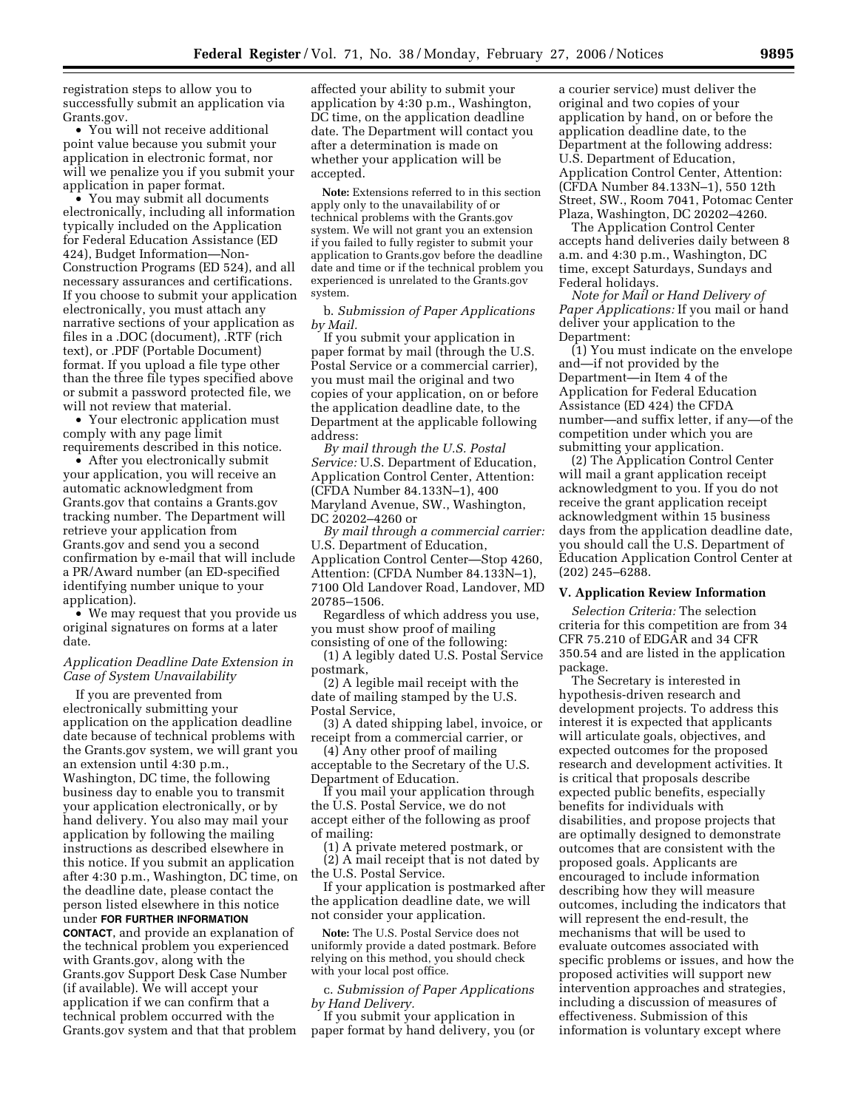registration steps to allow you to successfully submit an application via Grants.gov.

• You will not receive additional point value because you submit your application in electronic format, nor will we penalize you if you submit your application in paper format.

• You may submit all documents electronically, including all information typically included on the Application for Federal Education Assistance (ED 424), Budget Information—Non-Construction Programs (ED 524), and all necessary assurances and certifications. If you choose to submit your application electronically, you must attach any narrative sections of your application as files in a .DOC (document), .RTF (rich text), or .PDF (Portable Document) format. If you upload a file type other than the three file types specified above or submit a password protected file, we will not review that material.

• Your electronic application must comply with any page limit requirements described in this notice.

• After you electronically submit your application, you will receive an automatic acknowledgment from Grants.gov that contains a Grants.gov tracking number. The Department will retrieve your application from Grants.gov and send you a second confirmation by e-mail that will include a PR/Award number (an ED-specified identifying number unique to your application).

• We may request that you provide us original signatures on forms at a later date.

# *Application Deadline Date Extension in Case of System Unavailability*

If you are prevented from electronically submitting your application on the application deadline date because of technical problems with the Grants.gov system, we will grant you an extension until 4:30 p.m., Washington, DC time, the following business day to enable you to transmit your application electronically, or by hand delivery. You also may mail your application by following the mailing instructions as described elsewhere in this notice. If you submit an application after 4:30 p.m., Washington, DC time, on the deadline date, please contact the person listed elsewhere in this notice under **FOR FURTHER INFORMATION**

**CONTACT**, and provide an explanation of the technical problem you experienced with Grants.gov, along with the Grants.gov Support Desk Case Number (if available). We will accept your application if we can confirm that a technical problem occurred with the Grants.gov system and that that problem affected your ability to submit your application by 4:30 p.m., Washington, DC time, on the application deadline date. The Department will contact you after a determination is made on whether your application will be accepted.

**Note:** Extensions referred to in this section apply only to the unavailability of or technical problems with the Grants.gov system. We will not grant you an extension if you failed to fully register to submit your application to Grants.gov before the deadline date and time or if the technical problem you experienced is unrelated to the Grants.gov system.

b. *Submission of Paper Applications by Mail.* 

If you submit your application in paper format by mail (through the U.S. Postal Service or a commercial carrier), you must mail the original and two copies of your application, on or before the application deadline date, to the Department at the applicable following address:

*By mail through the U.S. Postal Service:* U.S. Department of Education, Application Control Center, Attention: (CFDA Number 84.133N–1), 400 Maryland Avenue, SW., Washington, DC 20202–4260 or

*By mail through a commercial carrier:*  U.S. Department of Education, Application Control Center—Stop 4260, Attention: (CFDA Number 84.133N–1), 7100 Old Landover Road, Landover, MD 20785–1506.

Regardless of which address you use, you must show proof of mailing consisting of one of the following:

(1) A legibly dated U.S. Postal Service postmark,

(2) A legible mail receipt with the date of mailing stamped by the U.S. Postal Service,

(3) A dated shipping label, invoice, or receipt from a commercial carrier, or

(4) Any other proof of mailing acceptable to the Secretary of the U.S. Department of Education.

If you mail your application through the U.S. Postal Service, we do not accept either of the following as proof of mailing:

(1) A private metered postmark, or (2) A mail receipt that is not dated by

the U.S. Postal Service. If your application is postmarked after the application deadline date, we will not consider your application.

**Note:** The U.S. Postal Service does not uniformly provide a dated postmark. Before relying on this method, you should check with your local post office.

c. *Submission of Paper Applications by Hand Delivery.* 

If you submit your application in paper format by hand delivery, you (or a courier service) must deliver the original and two copies of your application by hand, on or before the application deadline date, to the Department at the following address: U.S. Department of Education, Application Control Center, Attention: (CFDA Number 84.133N–1), 550 12th Street, SW., Room 7041, Potomac Center Plaza, Washington, DC 20202–4260.

The Application Control Center accepts hand deliveries daily between 8 a.m. and 4:30 p.m., Washington, DC time, except Saturdays, Sundays and Federal holidays.

*Note for Mail or Hand Delivery of Paper Applications:* If you mail or hand deliver your application to the Department:

(1) You must indicate on the envelope and—if not provided by the Department—in Item 4 of the Application for Federal Education Assistance (ED 424) the CFDA number—and suffix letter, if any—of the competition under which you are submitting your application.

(2) The Application Control Center will mail a grant application receipt acknowledgment to you. If you do not receive the grant application receipt acknowledgment within 15 business days from the application deadline date, you should call the U.S. Department of Education Application Control Center at (202) 245–6288.

#### **V. Application Review Information**

*Selection Criteria:* The selection criteria for this competition are from 34 CFR 75.210 of EDGAR and 34 CFR 350.54 and are listed in the application package.

The Secretary is interested in hypothesis-driven research and development projects. To address this interest it is expected that applicants will articulate goals, objectives, and expected outcomes for the proposed research and development activities. It is critical that proposals describe expected public benefits, especially benefits for individuals with disabilities, and propose projects that are optimally designed to demonstrate outcomes that are consistent with the proposed goals. Applicants are encouraged to include information describing how they will measure outcomes, including the indicators that will represent the end-result, the mechanisms that will be used to evaluate outcomes associated with specific problems or issues, and how the proposed activities will support new intervention approaches and strategies, including a discussion of measures of effectiveness. Submission of this information is voluntary except where